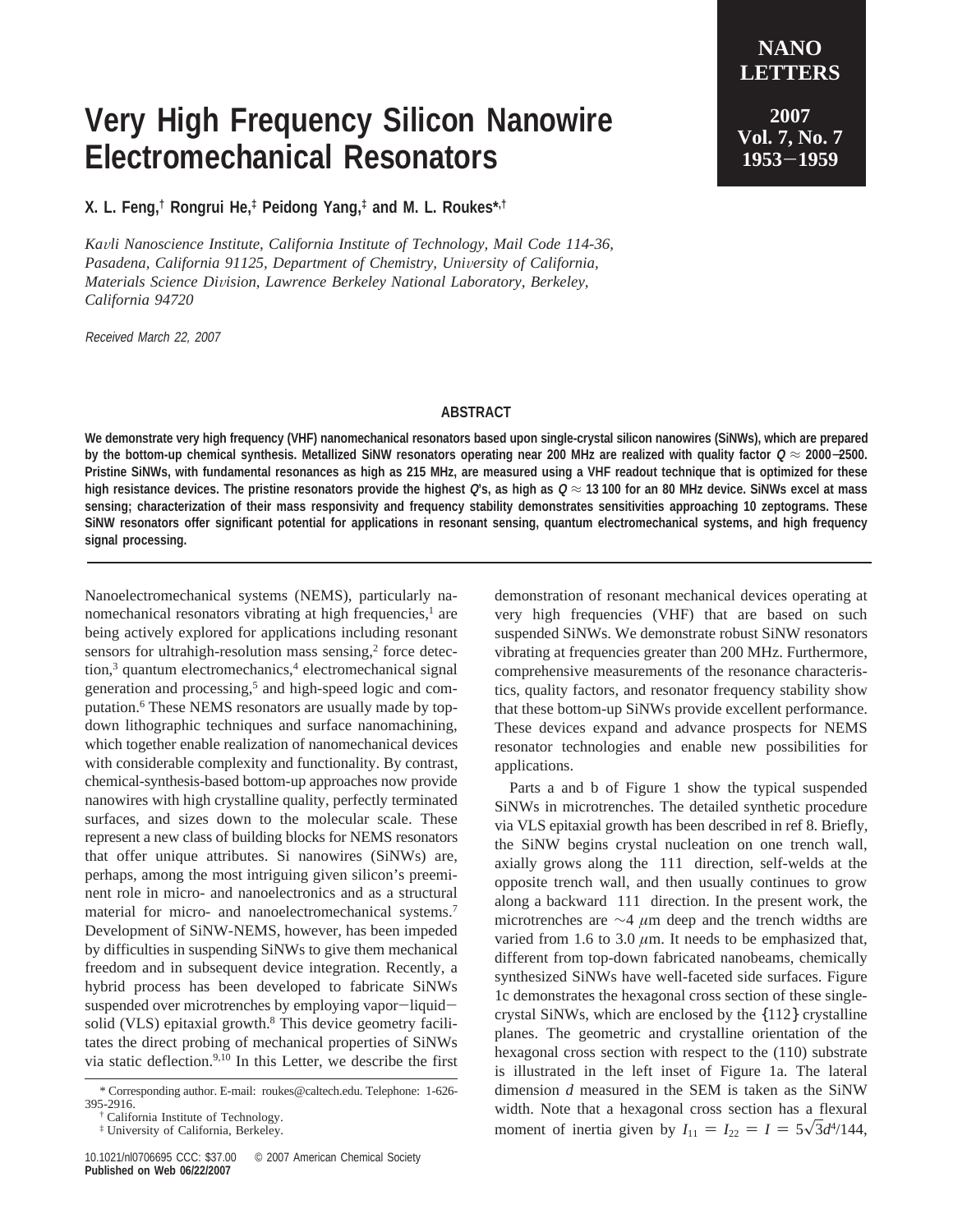## **Very High Frequency Silicon Nanowire Electromechanical Resonators**

**X. L. Feng,† Rongrui He,‡ Peidong Yang,‡ and M. L. Roukes\*,†**

*Ka*V*li Nanoscience Institute, California Institute of Technology, Mail Code 114-36,* Pasadena, California 91125, Department of Chemistry, University of California, *Materials Science Di*V*ision, Lawrence Berkeley National Laboratory, Berkeley, California 94720*

Received March 22, 2007

**Vol. 7, No. 7 <sup>1953</sup>**-**<sup>1959</sup>**

## **ABSTRACT**

**We demonstrate very high frequency (VHF) nanomechanical resonators based upon single-crystal silicon nanowires (SiNWs), which are prepared by the bottom-up chemical synthesis. Metallized SiNW resonators operating near 200 MHz are realized with quality factor <sup>Q</sup>** ≈ **<sup>2000</sup>**−**2500. Pristine SiNWs, with fundamental resonances as high as 215 MHz, are measured using a VHF readout technique that is optimized for these high resistance devices. The pristine resonators provide the highest <sup>Q</sup>'s, as high as <sup>Q</sup>** ≈ **13 100 for an 80 MHz device. SiNWs excel at mass sensing; characterization of their mass responsivity and frequency stability demonstrates sensitivities approaching 10 zeptograms. These SiNW resonators offer significant potential for applications in resonant sensing, quantum electromechanical systems, and high frequency signal processing.**

Nanoelectromechanical systems (NEMS), particularly nanomechanical resonators vibrating at high frequencies,<sup>1</sup> are being actively explored for applications including resonant sensors for ultrahigh-resolution mass sensing, $2$  force detection,<sup>3</sup> quantum electromechanics,<sup>4</sup> electromechanical signal generation and processing,<sup>5</sup> and high-speed logic and computation.6 These NEMS resonators are usually made by topdown lithographic techniques and surface nanomachining, which together enable realization of nanomechanical devices with considerable complexity and functionality. By contrast, chemical-synthesis-based bottom-up approaches now provide nanowires with high crystalline quality, perfectly terminated surfaces, and sizes down to the molecular scale. These represent a new class of building blocks for NEMS resonators that offer unique attributes. Si nanowires (SiNWs) are, perhaps, among the most intriguing given silicon's preeminent role in micro- and nanoelectronics and as a structural material for micro- and nanoelectromechanical systems.<sup>7</sup> Development of SiNW-NEMS, however, has been impeded by difficulties in suspending SiNWs to give them mechanical freedom and in subsequent device integration. Recently, a hybrid process has been developed to fabricate SiNWs suspended over microtrenches by employing vapor-liquidsolid (VLS) epitaxial growth.<sup>8</sup> This device geometry facilitates the direct probing of mechanical properties of SiNWs via static deflection.<sup>9,10</sup> In this Letter, we describe the first demonstration of resonant mechanical devices operating at very high frequencies (VHF) that are based on such suspended SiNWs. We demonstrate robust SiNW resonators vibrating at frequencies greater than 200 MHz. Furthermore, comprehensive measurements of the resonance characteristics, quality factors, and resonator frequency stability show that these bottom-up SiNWs provide excellent performance. These devices expand and advance prospects for NEMS resonator technologies and enable new possibilities for applications.

Parts a and b of Figure 1 show the typical suspended SiNWs in microtrenches. The detailed synthetic procedure via VLS epitaxial growth has been described in ref 8. Briefly, the SiNW begins crystal nucleation on one trench wall, axially grows along the 〈111〉 direction, self-welds at the opposite trench wall, and then usually continues to grow along a backward  $\langle 111 \rangle$  direction. In the present work, the microtrenches are ∼4 *µ*m deep and the trench widths are varied from 1.6 to 3.0  $\mu$ m. It needs to be emphasized that, different from top-down fabricated nanobeams, chemically synthesized SiNWs have well-faceted side surfaces. Figure 1c demonstrates the hexagonal cross section of these singlecrystal SiNWs, which are enclosed by the {112} crystalline planes. The geometric and crystalline orientation of the hexagonal cross section with respect to the (110) substrate is illustrated in the left inset of Figure 1a. The lateral dimension *d* measured in the SEM is taken as the SiNW width. Note that a hexagonal cross section has a flexural moment of inertia given by  $I_{11} = I_{22} = I = 5\sqrt{3}d^{4}/144$ ,

<sup>\*</sup> Corresponding author. E-mail: roukes@caltech.edu. Telephone: 1-626- 395-2916.

<sup>†</sup> California Institute of Technology.

<sup>‡</sup> University of California, Berkeley.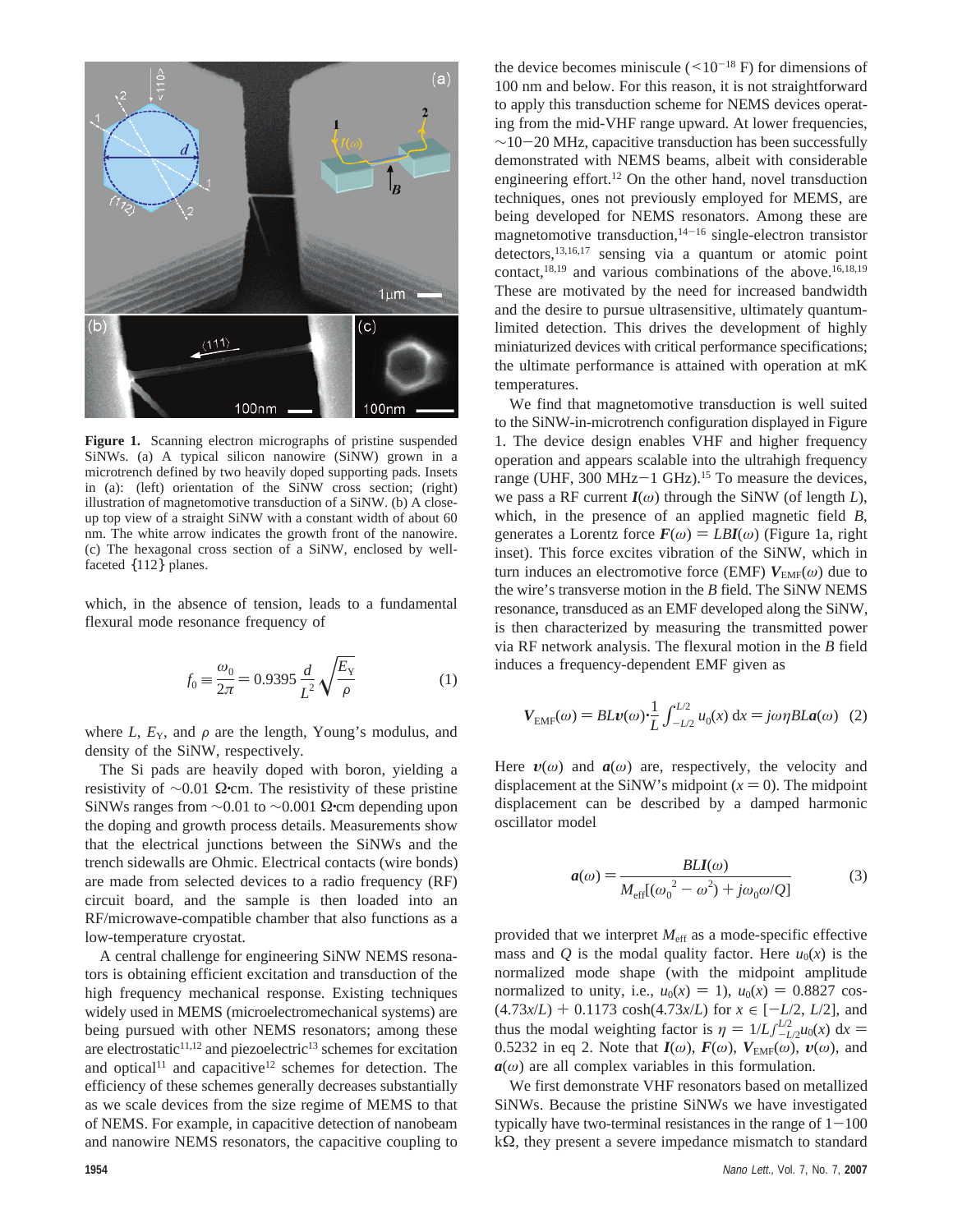

**Figure 1.** Scanning electron micrographs of pristine suspended SiNWs. (a) A typical silicon nanowire (SiNW) grown in a microtrench defined by two heavily doped supporting pads. Insets in (a): (left) orientation of the SiNW cross section; (right) illustration of magnetomotive transduction of a SiNW. (b) A closeup top view of a straight SiNW with a constant width of about 60 nm. The white arrow indicates the growth front of the nanowire. (c) The hexagonal cross section of a SiNW, enclosed by wellfaceted {112} planes.

which, in the absence of tension, leads to a fundamental flexural mode resonance frequency of

$$
f_0 = \frac{\omega_0}{2\pi} = 0.9395 \frac{d}{L^2} \sqrt{\frac{E_Y}{\rho}}
$$
 (1)

where  $L$ ,  $E_Y$ , and  $\rho$  are the length, Young's modulus, and density of the SiNW, respectively.

The Si pads are heavily doped with boron, yielding a resistivity of  $\sim$ 0.01 Ω•cm. The resistivity of these pristine SiNWs ranges from  $\sim$ 0.01 to  $\sim$ 0.001 Ω•cm depending upon the doping and growth process details. Measurements show that the electrical junctions between the SiNWs and the trench sidewalls are Ohmic. Electrical contacts (wire bonds) are made from selected devices to a radio frequency (RF) circuit board, and the sample is then loaded into an RF/microwave-compatible chamber that also functions as a low-temperature cryostat.

A central challenge for engineering SiNW NEMS resonators is obtaining efficient excitation and transduction of the high frequency mechanical response. Existing techniques widely used in MEMS (microelectromechanical systems) are being pursued with other NEMS resonators; among these are electrostatic<sup>11,12</sup> and piezoelectric<sup>13</sup> schemes for excitation and optical<sup>11</sup> and capacitive<sup>12</sup> schemes for detection. The efficiency of these schemes generally decreases substantially as we scale devices from the size regime of MEMS to that of NEMS. For example, in capacitive detection of nanobeam and nanowire NEMS resonators, the capacitive coupling to

the device becomes miniscule  $(<10^{-18} \text{ F})$  for dimensions of 100 nm and below. For this reason, it is not straightforward to apply this transduction scheme for NEMS devices operating from the mid-VHF range upward. At lower frequencies,  $\sim$ 10-20 MHz, capacitive transduction has been successfully demonstrated with NEMS beams, albeit with considerable engineering effort.12 On the other hand, novel transduction techniques, ones not previously employed for MEMS, are being developed for NEMS resonators. Among these are magnetomotive transduction,  $14-16$  single-electron transistor detectors, $13,16,17$  sensing via a quantum or atomic point contact, $^{18,19}$  and various combinations of the above.<sup>16,18,19</sup> These are motivated by the need for increased bandwidth and the desire to pursue ultrasensitive, ultimately quantumlimited detection. This drives the development of highly miniaturized devices with critical performance specifications; the ultimate performance is attained with operation at mK temperatures.

We find that magnetomotive transduction is well suited to the SiNW-in-microtrench configuration displayed in Figure 1. The device design enables VHF and higher frequency operation and appears scalable into the ultrahigh frequency range (UHF, 300 MHz-1 GHz).<sup>15</sup> To measure the devices, we pass a RF current  $I(\omega)$  through the SiNW (of length *L*), which, in the presence of an applied magnetic field *B*, generates a Lorentz force  $F(\omega) = LBI(\omega)$  (Figure 1a, right inset). This force excites vibration of the SiNW, which in turn induces an electromotive force (EMF)  $V_{EMF}(\omega)$  due to the wire's transverse motion in the *B* field. The SiNW NEMS resonance, transduced as an EMF developed along the SiNW, is then characterized by measuring the transmitted power via RF network analysis. The flexural motion in the *B* field induces a frequency-dependent EMF given as

$$
V_{EMF}(\omega) = BLv(\omega) \cdot \frac{1}{L} \int_{-L/2}^{L/2} u_0(x) dx = j\omega \eta BLa(\omega) \quad (2)
$$

Here  $v(\omega)$  and  $a(\omega)$  are, respectively, the velocity and displacement at the SiNW's midpoint  $(x = 0)$ . The midpoint displacement can be described by a damped harmonic oscillator model

$$
a(\omega) = \frac{BLI(\omega)}{M_{\text{eff}}[(\omega_0^2 - \omega^2) + j\omega_0\omega/Q]}
$$
(3)

provided that we interpret *M*eff as a mode-specific effective mass and *Q* is the modal quality factor. Here  $u_0(x)$  is the normalized mode shape (with the midpoint amplitude normalized to unity, i.e.,  $u_0(x) = 1$ ),  $u_0(x) = 0.8827 \cos x$  $(4.73x/L) + 0.1173 \cosh(4.73x/L)$  for  $x \in [-L/2, L/2]$ , and thus the modal weighting factor is  $\eta = 1/L \int_{-L/2}^{L/2} u_0(x) dx = 0.5232$  in eq. 2. Note that  $I(\omega)$ ,  $F(\omega)$ ,  $V_{\text{D}}(0)$ ,  $I(\omega)$ , and 0.5232 in eq 2. Note that  $I(\omega)$ ,  $F(\omega)$ ,  $V_{EMF}(\omega)$ ,  $v(\omega)$ , and  $a(\omega)$  are all complex variables in this formulation.

We first demonstrate VHF resonators based on metallized SiNWs. Because the pristine SiNWs we have investigated typically have two-terminal resistances in the range of  $1-100$ kΩ, they present a severe impedance mismatch to standard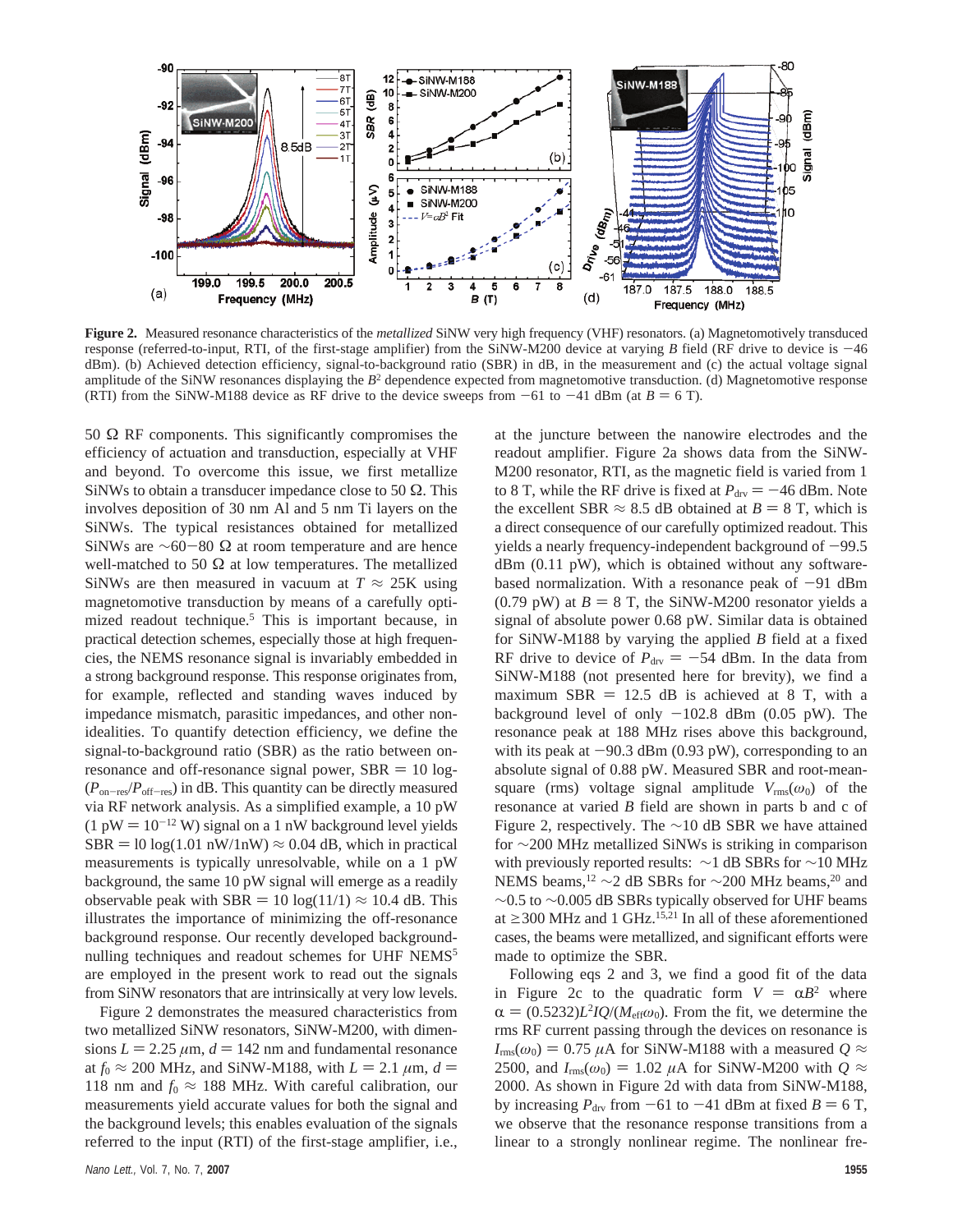

**Figure 2.** Measured resonance characteristics of the *metallized* SiNW very high frequency (VHF) resonators. (a) Magnetomotively transduced response (referred-to-input, RTI, of the first-stage amplifier) from the SiNW-M200 device at varying *B* field (RF drive to device is  $-46$ ) dBm). (b) Achieved detection efficiency, signal-to-background ratio (SBR) in dB, in the measurement and (c) the actual voltage signal amplitude of the SiNW resonances displaying the  $B<sup>2</sup>$  dependence expected from magnetomotive transduction. (d) Magnetomotive response (RTI) from the SiNW-M188 device as RF drive to the device sweeps from  $-61$  to  $-41$  dBm (at  $B = 6$  T).

50  $Ω$  RF components. This significantly compromises the efficiency of actuation and transduction, especially at VHF and beyond. To overcome this issue, we first metallize SiNWs to obtain a transducer impedance close to 50  $\Omega$ . This involves deposition of 30 nm Al and 5 nm Ti layers on the SiNWs. The typical resistances obtained for metallized SiNWs are ∼60-80 Ω at room temperature and are hence well-matched to 50  $\Omega$  at low temperatures. The metallized SiNWs are then measured in vacuum at  $T \approx 25$ K using magnetomotive transduction by means of a carefully optimized readout technique.<sup>5</sup> This is important because, in practical detection schemes, especially those at high frequencies, the NEMS resonance signal is invariably embedded in a strong background response. This response originates from, for example, reflected and standing waves induced by impedance mismatch, parasitic impedances, and other nonidealities. To quantify detection efficiency, we define the signal-to-background ratio (SBR) as the ratio between onresonance and off-resonance signal power,  $SBR = 10 log$ -(*P*on-res/*P*off-res) in dB. This quantity can be directly measured via RF network analysis. As a simplified example, a 10 pW  $(1 \text{ pW} = 10^{-12} \text{ W})$  signal on a 1 nW background level yields  $SBR = 10 log(1.01 nW/1nW) \approx 0.04 dB$ , which in practical measurements is typically unresolvable, while on a 1 pW background, the same 10 pW signal will emerge as a readily observable peak with SBR = 10 log(11/1)  $\approx$  10.4 dB. This illustrates the importance of minimizing the off-resonance background response. Our recently developed backgroundnulling techniques and readout schemes for UHF NEMS<sup>5</sup> are employed in the present work to read out the signals from SiNW resonators that are intrinsically at very low levels.

Figure 2 demonstrates the measured characteristics from two metallized SiNW resonators, SiNW-M200, with dimensions  $L = 2.25 \mu m$ ,  $d = 142 \mu m$  and fundamental resonance at  $f_0 \approx 200$  MHz, and SiNW-M188, with  $L = 2.1 \mu m$ ,  $d =$ 118 nm and  $f_0 \approx 188$  MHz. With careful calibration, our measurements yield accurate values for both the signal and the background levels; this enables evaluation of the signals referred to the input (RTI) of the first-stage amplifier, i.e., at the juncture between the nanowire electrodes and the readout amplifier. Figure 2a shows data from the SiNW-M200 resonator, RTI, as the magnetic field is varied from 1 to 8 T, while the RF drive is fixed at  $P_{\text{dry}} = -46$  dBm. Note the excellent SBR  $\approx 8.5$  dB obtained at  $B = 8$  T, which is a direct consequence of our carefully optimized readout. This yields a nearly frequency-independent background of  $-99.5$ dBm (0.11 pW), which is obtained without any softwarebased normalization. With a resonance peak of  $-91$  dBm  $(0.79 \text{ pW})$  at  $B = 8 \text{ T}$ , the SiNW-M200 resonator yields a signal of absolute power 0.68 pW. Similar data is obtained for SiNW-M188 by varying the applied *B* field at a fixed RF drive to device of  $P_{\text{dry}} = -54$  dBm. In the data from SiNW-M188 (not presented here for brevity), we find a maximum SBR  $= 12.5$  dB is achieved at 8 T, with a background level of only  $-102.8$  dBm (0.05 pW). The resonance peak at 188 MHz rises above this background, with its peak at  $-90.3$  dBm (0.93 pW), corresponding to an absolute signal of 0.88 pW. Measured SBR and root-meansquare (rms) voltage signal amplitude  $V_{\text{rms}}(\omega_0)$  of the resonance at varied *B* field are shown in parts b and c of Figure 2, respectively. The  $\sim$ 10 dB SBR we have attained for ∼200 MHz metallized SiNWs is striking in comparison with previously reported results: ∼1 dB SBRs for ~10 MHz NEMS beams,<sup>12</sup> ∼2 dB SBRs for ∼200 MHz beams,<sup>20</sup> and ∼0.5 to ∼0.005 dB SBRs typically observed for UHF beams at  $\geq$  300 MHz and 1 GHz.<sup>15,21</sup> In all of these aforementioned cases, the beams were metallized, and significant efforts were made to optimize the SBR.

Following eqs 2 and 3, we find a good fit of the data in Figure 2c to the quadratic form  $V = \alpha B^2$  where  $\alpha = (0.5232)L^2IQ/(M_{\text{eff}}\omega_0)$ . From the fit, we determine the rms RF current passing through the devices on resonance is  $I_{\text{rms}}(\omega_0) = 0.75 \mu A$  for SiNW-M188 with a measured  $Q \approx$ 2500, and  $I_{\text{rms}}(\omega_0) = 1.02 \mu A$  for SiNW-M200 with  $Q \approx$ 2000. As shown in Figure 2d with data from SiNW-M188, by increasing  $P_{\text{dry}}$  from  $-61$  to  $-41$  dBm at fixed  $B = 6$  T, we observe that the resonance response transitions from a linear to a strongly nonlinear regime. The nonlinear fre-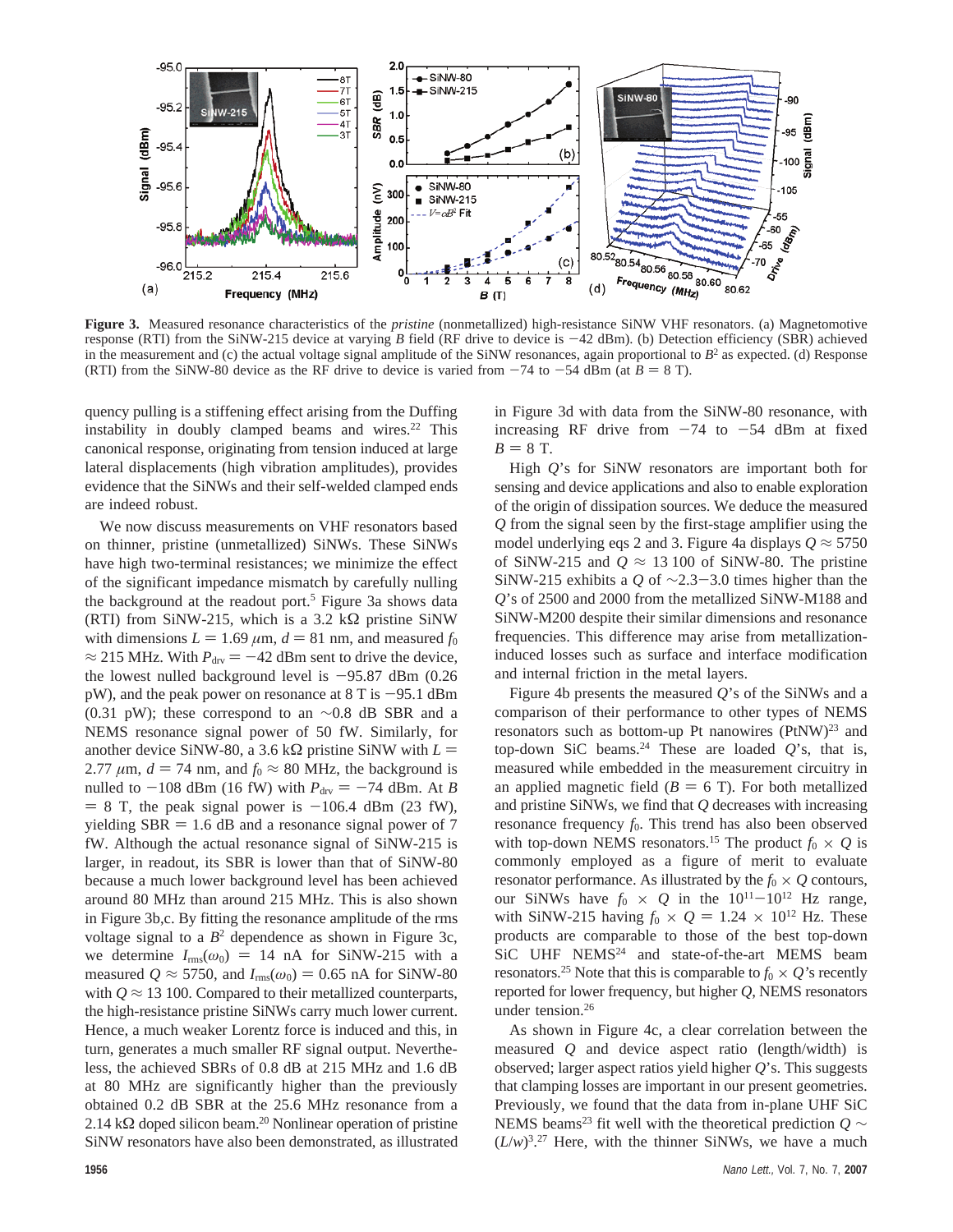

**Figure 3.** Measured resonance characteristics of the *pristine* (nonmetallized) high-resistance SiNW VHF resonators. (a) Magnetomotive response (RTI) from the SiNW-215 device at varying *<sup>B</sup>* field (RF drive to device is -42 dBm). (b) Detection efficiency (SBR) achieved in the measurement and (c) the actual voltage signal amplitude of the SiNW resonances, again proportional to  $B<sup>2</sup>$  as expected. (d) Response (RTI) from the SiNW-80 device as the RF drive to device is varied from  $-74$  to  $-54$  dBm (at  $B = 8$  T).

quency pulling is a stiffening effect arising from the Duffing instability in doubly clamped beams and wires. $22$  This canonical response, originating from tension induced at large lateral displacements (high vibration amplitudes), provides evidence that the SiNWs and their self-welded clamped ends are indeed robust.

We now discuss measurements on VHF resonators based on thinner, pristine (unmetallized) SiNWs. These SiNWs have high two-terminal resistances; we minimize the effect of the significant impedance mismatch by carefully nulling the background at the readout port.<sup>5</sup> Figure 3a shows data (RTI) from SiNW-215, which is a 3.2 k $\Omega$  pristine SiNW with dimensions  $L = 1.69 \ \mu \text{m}$ ,  $d = 81 \ \text{nm}$ , and measured  $f_0$  $\approx$  215 MHz. With  $P_{\text{dry}} = -42$  dBm sent to drive the device, the lowest nulled background level is  $-95.87$  dBm (0.26)  $pW$ ), and the peak power on resonance at 8 T is  $-95.1$  dBm (0.31 pW); these correspond to an  $\sim$ 0.8 dB SBR and a NEMS resonance signal power of 50 fW. Similarly, for another device SiNW-80, a 3.6 k $\Omega$  pristine SiNW with  $L =$ 2.77  $\mu$ m,  $d = 74$  nm, and  $f_0 \approx 80$  MHz, the background is nulled to  $-108$  dBm (16 fW) with  $P_{\text{dry}} = -74$  dBm. At *B*  $= 8$  T, the peak signal power is  $-106.4$  dBm (23 fW), yielding  $SBR = 1.6$  dB and a resonance signal power of 7 fW. Although the actual resonance signal of SiNW-215 is larger, in readout, its SBR is lower than that of SiNW-80 because a much lower background level has been achieved around 80 MHz than around 215 MHz. This is also shown in Figure 3b,c. By fitting the resonance amplitude of the rms voltage signal to a  $B^2$  dependence as shown in Figure 3c, we determine  $I_{\text{rms}}(\omega_0) = 14$  nA for SiNW-215 with a measured  $Q \approx 5750$ , and  $I_{\text{rms}}(\omega_0) = 0.65$  nA for SiNW-80 with  $Q \approx 13$  100. Compared to their metallized counterparts, the high-resistance pristine SiNWs carry much lower current. Hence, a much weaker Lorentz force is induced and this, in turn, generates a much smaller RF signal output. Nevertheless, the achieved SBRs of 0.8 dB at 215 MHz and 1.6 dB at 80 MHz are significantly higher than the previously obtained 0.2 dB SBR at the 25.6 MHz resonance from a 2.14 kΩ doped silicon beam.<sup>20</sup> Nonlinear operation of pristine SiNW resonators have also been demonstrated, as illustrated

in Figure 3d with data from the SiNW-80 resonance, with increasing RF drive from  $-74$  to  $-54$  dBm at fixed  $B = 8$  T.

High *Q*'s for SiNW resonators are important both for sensing and device applications and also to enable exploration of the origin of dissipation sources. We deduce the measured *Q* from the signal seen by the first-stage amplifier using the model underlying eqs 2 and 3. Figure 4a displays  $Q \approx 5750$ of SiNW-215 and  $Q \approx 13100$  of SiNW-80. The pristine SiNW-215 exhibits a *<sup>Q</sup>* of <sup>∼</sup>2.3-3.0 times higher than the *Q*'s of 2500 and 2000 from the metallized SiNW-M188 and SiNW-M200 despite their similar dimensions and resonance frequencies. This difference may arise from metallizationinduced losses such as surface and interface modification and internal friction in the metal layers.

Figure 4b presents the measured *Q*'s of the SiNWs and a comparison of their performance to other types of NEMS resonators such as bottom-up Pt nanowires  $(PtNW)^{23}$  and top-down SiC beams.<sup>24</sup> These are loaded  $Q$ 's, that is, measured while embedded in the measurement circuitry in an applied magnetic field  $(B = 6$  T). For both metallized and pristine SiNWs, we find that *Q* decreases with increasing resonance frequency  $f_0$ . This trend has also been observed with top-down NEMS resonators.<sup>15</sup> The product  $f_0 \times Q$  is commonly employed as a figure of merit to evaluate resonator performance. As illustrated by the  $f_0 \times Q$  contours, our SiNWs have  $f_0 \times Q$  in the  $10^{11}-10^{12}$  Hz range, with SiNW-215 having  $f_0 \times Q = 1.24 \times 10^{12}$  Hz. These products are comparable to those of the best top-down SiC UHF NEMS<sup>24</sup> and state-of-the-art MEMS beam resonators.<sup>25</sup> Note that this is comparable to  $f_0 \times O$ 's recently reported for lower frequency, but higher *Q*, NEMS resonators under tension.<sup>26</sup>

As shown in Figure 4c, a clear correlation between the measured *Q* and device aspect ratio (length/width) is observed; larger aspect ratios yield higher *Q*'s. This suggests that clamping losses are important in our present geometries. Previously, we found that the data from in-plane UHF SiC NEMS beams<sup>23</sup> fit well with the theoretical prediction  $Q \sim$  $(L/w)^{3.27}$  Here, with the thinner SiNWs, we have a much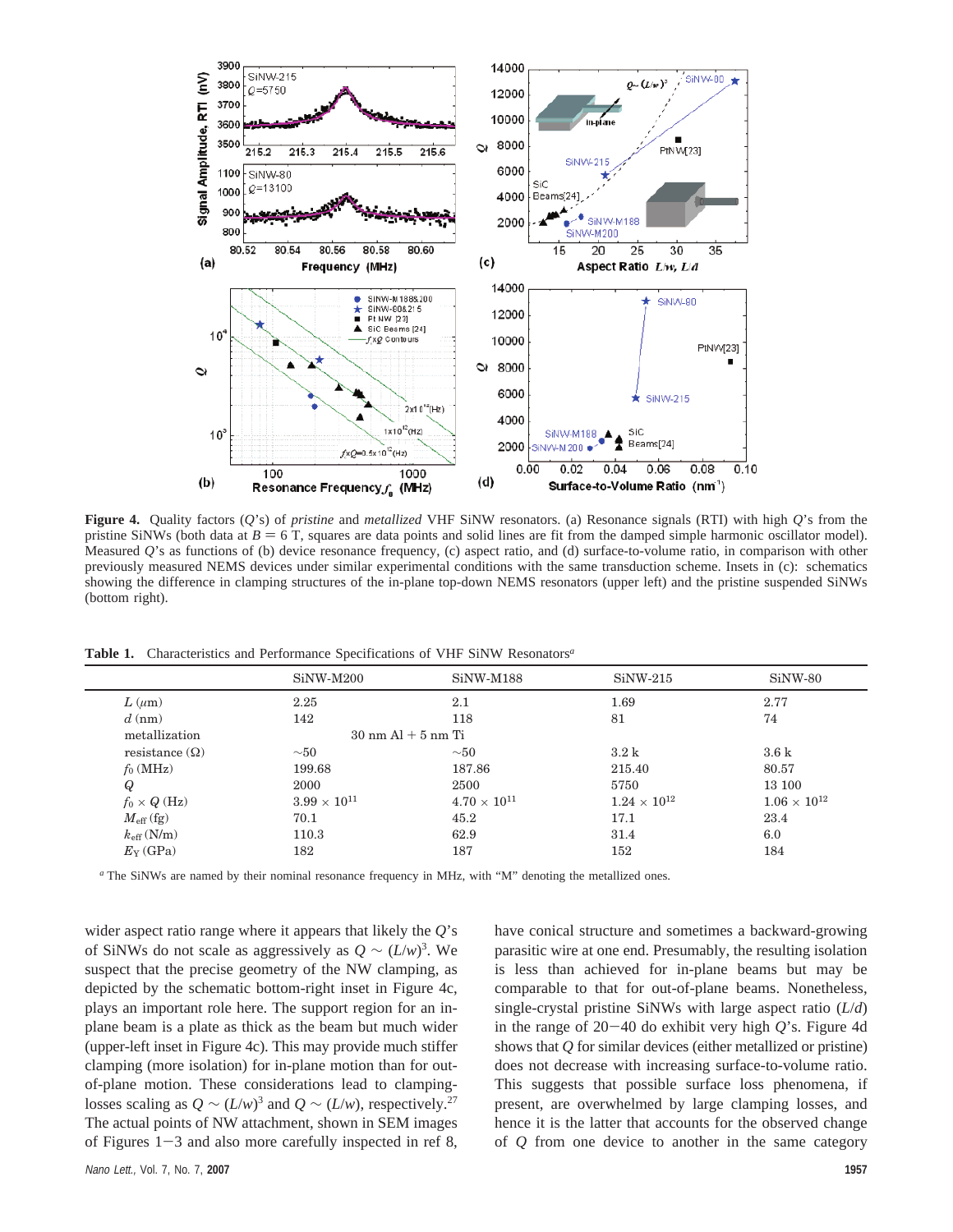

**Figure 4.** Quality factors (*Q*'s) of *pristine* and *metallized* VHF SiNW resonators. (a) Resonance signals (RTI) with high *Q*'s from the pristine SiNWs (both data at  $B = 6$  T, squares are data points and solid lines are fit from the damped simple harmonic oscillator model). Measured *Q*'s as functions of (b) device resonance frequency, (c) aspect ratio, and (d) surface-to-volume ratio, in comparison with other previously measured NEMS devices under similar experimental conditions with the same transduction scheme. Insets in (c): schematics showing the difference in clamping structures of the in-plane top-down NEMS resonators (upper left) and the pristine suspended SiNWs (bottom right).

**Table 1.** Characteristics and Performance Specifications of VHF SiNW Resonators*<sup>a</sup>*

|                        | $SiNW-M200$                            | $SiNW-M188$           | $SiNW-215$          | SiNW-80               |
|------------------------|----------------------------------------|-----------------------|---------------------|-----------------------|
| $L(\mu m)$             | 2.25                                   | 2.1                   | 1.69                | 2.77                  |
| $d \text{ (nm)}$       | 142                                    | 118                   | 81                  | 74                    |
| metallization          | $30 \text{ nm}$ Al $+ 5 \text{ nm}$ Ti |                       |                     |                       |
| resistance $(\Omega)$  | $\sim 50$                              | $\sim\!\!50$          | $3.2\,\mathrm{k}$   | 3.6k                  |
| $f_0$ (MHz)            | 199.68                                 | 187.86                | 215.40              | 80.57                 |
| Q                      | 2000                                   | 2500                  | 5750                | 13 100                |
| $f_0 \times Q$ (Hz)    | $3.99 \times 10^{11}$                  | $4.70 \times 10^{11}$ | $1.24\times10^{12}$ | $1.06 \times 10^{12}$ |
| $M_{\rm eff}$ (fg)     | 70.1                                   | 45.2                  | 17.1                | 23.4                  |
| $k_{\text{eff}}$ (N/m) | 110.3                                  | 62.9                  | 31.4                | 6.0                   |
| $E_Y$ (GPa)            | 182                                    | 187                   | 152                 | 184                   |
|                        |                                        |                       |                     |                       |

*<sup>a</sup>* The SiNWs are named by their nominal resonance frequency in MHz, with "M" denoting the metallized ones.

wider aspect ratio range where it appears that likely the *Q*'s of SiNWs do not scale as aggressively as  $Q \sim (L/w)^3$ . We suspect that the precise geometry of the NW clamping, as depicted by the schematic bottom-right inset in Figure 4c, plays an important role here. The support region for an inplane beam is a plate as thick as the beam but much wider (upper-left inset in Figure 4c). This may provide much stiffer clamping (more isolation) for in-plane motion than for outof-plane motion. These considerations lead to clampinglosses scaling as  $Q \sim (L/w)^3$  and  $Q \sim (L/w)$ , respectively.<sup>27</sup> The actual points of NW attachment, shown in SEM images of Figures  $1-3$  and also more carefully inspected in ref 8,

have conical structure and sometimes a backward-growing parasitic wire at one end. Presumably, the resulting isolation is less than achieved for in-plane beams but may be comparable to that for out-of-plane beams. Nonetheless, single-crystal pristine SiNWs with large aspect ratio (*L*/*d*) in the range of 20-40 do exhibit very high *<sup>Q</sup>*'s. Figure 4d shows that *Q* for similar devices (either metallized or pristine) does not decrease with increasing surface-to-volume ratio. This suggests that possible surface loss phenomena, if present, are overwhelmed by large clamping losses, and hence it is the latter that accounts for the observed change of *Q* from one device to another in the same category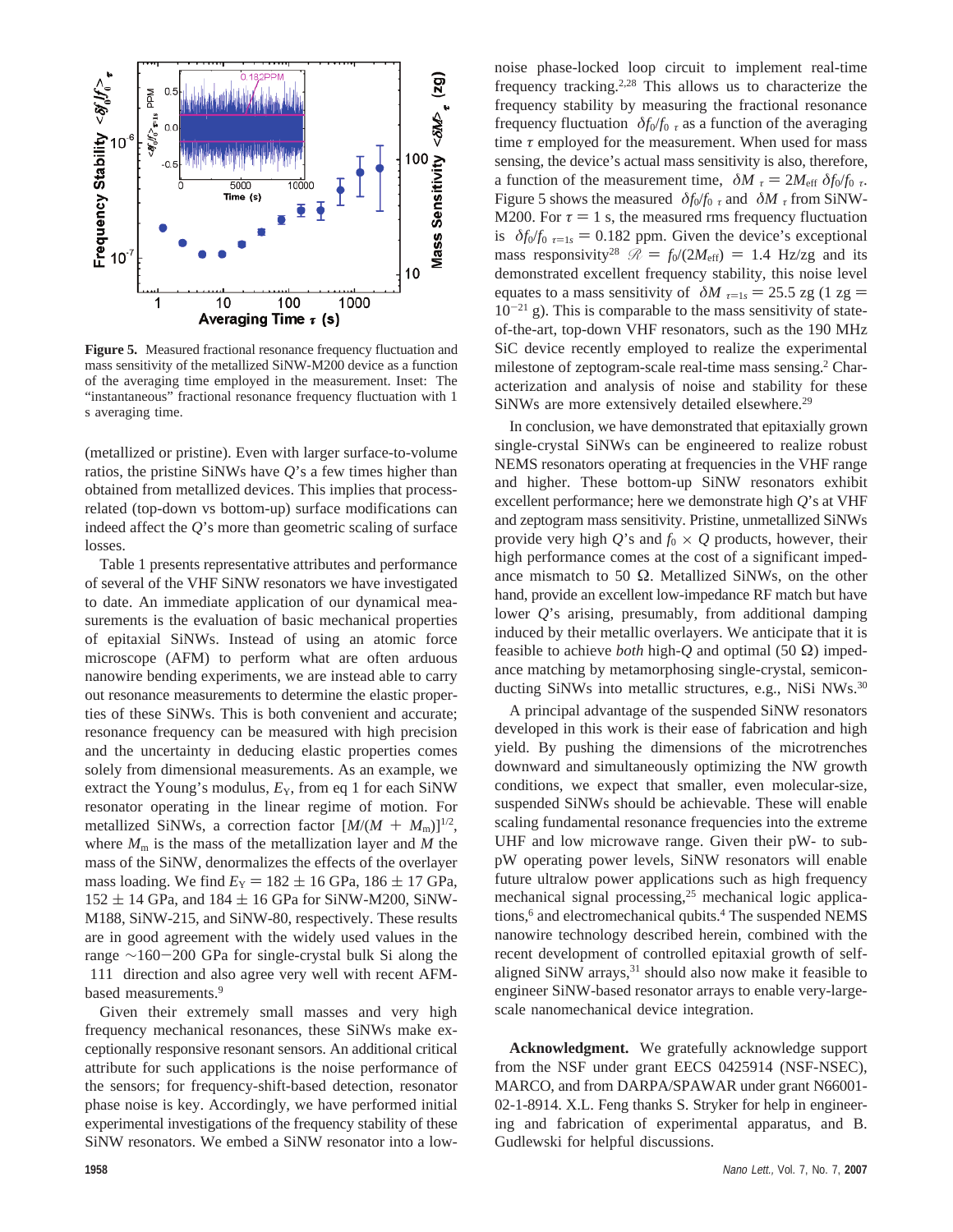

**Figure 5.** Measured fractional resonance frequency fluctuation and mass sensitivity of the metallized SiNW-M200 device as a function of the averaging time employed in the measurement. Inset: The "instantaneous" fractional resonance frequency fluctuation with 1 s averaging time.

(metallized or pristine). Even with larger surface-to-volume ratios, the pristine SiNWs have *Q*'s a few times higher than obtained from metallized devices. This implies that processrelated (top-down vs bottom-up) surface modifications can indeed affect the *Q*'s more than geometric scaling of surface losses.

Table 1 presents representative attributes and performance of several of the VHF SiNW resonators we have investigated to date. An immediate application of our dynamical measurements is the evaluation of basic mechanical properties of epitaxial SiNWs. Instead of using an atomic force microscope (AFM) to perform what are often arduous nanowire bending experiments, we are instead able to carry out resonance measurements to determine the elastic properties of these SiNWs. This is both convenient and accurate; resonance frequency can be measured with high precision and the uncertainty in deducing elastic properties comes solely from dimensional measurements. As an example, we extract the Young's modulus,  $E_Y$ , from eq 1 for each SiNW resonator operating in the linear regime of motion. For metallized SiNWs, a correction factor  $[M/(M + M<sub>m</sub>)]^{1/2}$ , where  $M<sub>m</sub>$  is the mass of the metallization layer and  $M$  the mass of the SiNW, denormalizes the effects of the overlayer mass loading. We find  $E_Y = 182 \pm 16$  GPa, 186  $\pm$  17 GPa,  $152 \pm 14$  GPa, and  $184 \pm 16$  GPa for SiNW-M200, SiNW-M188, SiNW-215, and SiNW-80, respectively. These results are in good agreement with the widely used values in the range <sup>∼</sup>160-200 GPa for single-crystal bulk Si along the 〈111〉 direction and also agree very well with recent AFMbased measurements.9

Given their extremely small masses and very high frequency mechanical resonances, these SiNWs make exceptionally responsive resonant sensors. An additional critical attribute for such applications is the noise performance of the sensors; for frequency-shift-based detection, resonator phase noise is key. Accordingly, we have performed initial experimental investigations of the frequency stability of these SiNW resonators. We embed a SiNW resonator into a lownoise phase-locked loop circuit to implement real-time frequency tracking.<sup>2,28</sup> This allows us to characterize the frequency stability by measuring the fractional resonance frequency fluctuation  $\langle \delta f_0/f_0 \rangle_t$  as a function of the averaging time  $\tau$  employed for the measurement. When used for mass sensing, the device's actual mass sensitivity is also, therefore, a function of the measurement time,  $\langle \delta M \rangle_{\tau} = 2M_{\text{eff}} \langle \delta f_0 / f_0 \rangle_{\tau}$ . Figure 5 shows the measured  $\langle \delta f_0/f_0 \rangle_\tau$  and  $\langle \delta M \rangle_\tau$  from SiNW-M200. For  $\tau = 1$  s, the measured rms frequency fluctuation is  $\langle \delta f_0/f_0 \rangle_{\tau=1s} = 0.182$  ppm. Given the device's exceptional mass responsivity<sup>28</sup>  $\mathcal{R} = f_0/(2M_{\text{eff}}) = 1.4$  Hz/zg and its demonstrated excellent frequency stability, this noise level equates to a mass sensitivity of  $\langle \delta M \rangle_{\tau=1s} = 25.5$  zg (1 zg =  $10^{-21}$  g). This is comparable to the mass sensitivity of stateof-the-art, top-down VHF resonators, such as the 190 MHz SiC device recently employed to realize the experimental milestone of zeptogram-scale real-time mass sensing.2 Characterization and analysis of noise and stability for these SiNWs are more extensively detailed elsewhere.<sup>29</sup>

In conclusion, we have demonstrated that epitaxially grown single-crystal SiNWs can be engineered to realize robust NEMS resonators operating at frequencies in the VHF range and higher. These bottom-up SiNW resonators exhibit excellent performance; here we demonstrate high *Q*'s at VHF and zeptogram mass sensitivity. Pristine, unmetallized SiNWs provide very high  $Q$ 's and  $f_0 \times Q$  products, however, their high performance comes at the cost of a significant impedance mismatch to 50  $\Omega$ . Metallized SiNWs, on the other hand, provide an excellent low-impedance RF match but have lower *Q*'s arising, presumably, from additional damping induced by their metallic overlayers. We anticipate that it is feasible to achieve *both* high-*Q* and optimal (50 Ω) impedance matching by metamorphosing single-crystal, semiconducting SiNWs into metallic structures, e.g., NiSi NWs.<sup>30</sup>

A principal advantage of the suspended SiNW resonators developed in this work is their ease of fabrication and high yield. By pushing the dimensions of the microtrenches downward and simultaneously optimizing the NW growth conditions, we expect that smaller, even molecular-size, suspended SiNWs should be achievable. These will enable scaling fundamental resonance frequencies into the extreme UHF and low microwave range. Given their pW- to subpW operating power levels, SiNW resonators will enable future ultralow power applications such as high frequency mechanical signal processing,25 mechanical logic applications,<sup>6</sup> and electromechanical qubits.<sup>4</sup> The suspended NEMS nanowire technology described herein, combined with the recent development of controlled epitaxial growth of selfaligned SiNW arrays, $31$  should also now make it feasible to engineer SiNW-based resonator arrays to enable very-largescale nanomechanical device integration.

**Acknowledgment.** We gratefully acknowledge support from the NSF under grant EECS 0425914 (NSF-NSEC), MARCO, and from DARPA/SPAWAR under grant N66001- 02-1-8914. X.L. Feng thanks S. Stryker for help in engineering and fabrication of experimental apparatus, and B. Gudlewski for helpful discussions.